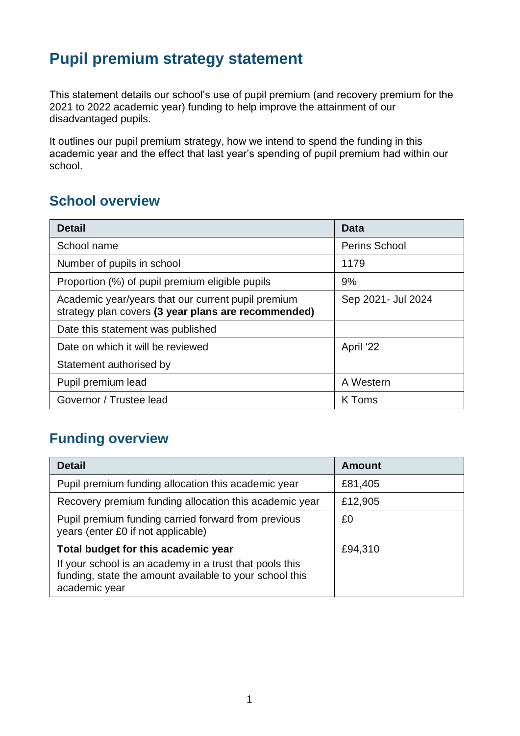# **Pupil premium strategy statement**

This statement details our school's use of pupil premium (and recovery premium for the 2021 to 2022 academic year) funding to help improve the attainment of our disadvantaged pupils.

It outlines our pupil premium strategy, how we intend to spend the funding in this academic year and the effect that last year's spending of pupil premium had within our school.

### **School overview**

| <b>Detail</b>                                                                                             | Data                 |  |
|-----------------------------------------------------------------------------------------------------------|----------------------|--|
| School name                                                                                               | <b>Perins School</b> |  |
| Number of pupils in school                                                                                | 1179                 |  |
| Proportion (%) of pupil premium eligible pupils                                                           | 9%                   |  |
| Academic year/years that our current pupil premium<br>strategy plan covers (3 year plans are recommended) | Sep 2021- Jul 2024   |  |
| Date this statement was published                                                                         |                      |  |
| Date on which it will be reviewed                                                                         | April '22            |  |
| Statement authorised by                                                                                   |                      |  |
| Pupil premium lead                                                                                        | A Western            |  |
| Governor / Trustee lead                                                                                   | K Toms               |  |

## **Funding overview**

| <b>Detail</b>                                                                                                                       | <b>Amount</b> |
|-------------------------------------------------------------------------------------------------------------------------------------|---------------|
| Pupil premium funding allocation this academic year                                                                                 | £81,405       |
| Recovery premium funding allocation this academic year                                                                              | £12,905       |
| Pupil premium funding carried forward from previous<br>years (enter £0 if not applicable)                                           | £0            |
| Total budget for this academic year                                                                                                 | £94,310       |
| If your school is an academy in a trust that pools this<br>funding, state the amount available to your school this<br>academic year |               |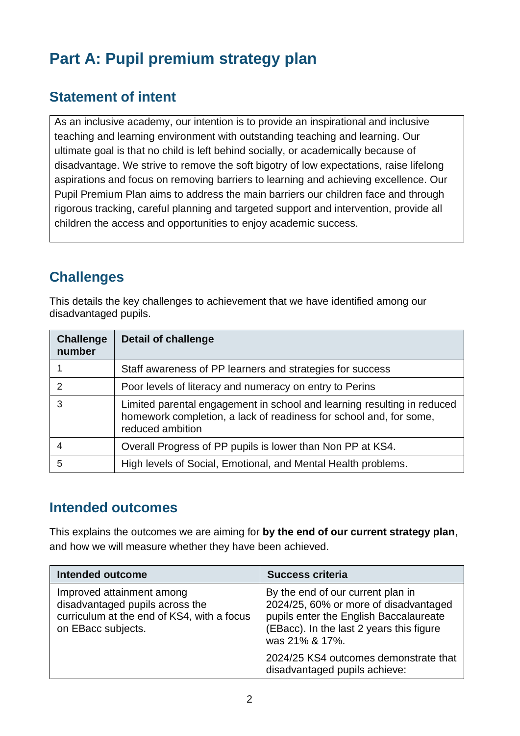# **Part A: Pupil premium strategy plan**

### **Statement of intent**

As an inclusive academy, our intention is to provide an inspirational and inclusive teaching and learning environment with outstanding teaching and learning. Our ultimate goal is that no child is left behind socially, or academically because of disadvantage. We strive to remove the soft bigotry of low expectations, raise lifelong aspirations and focus on removing barriers to learning and achieving excellence. Our Pupil Premium Plan aims to address the main barriers our children face and through rigorous tracking, careful planning and targeted support and intervention, provide all children the access and opportunities to enjoy academic success.

# **Challenges**

This details the key challenges to achievement that we have identified among our disadvantaged pupils.

| <b>Challenge</b><br>number | <b>Detail of challenge</b>                                                                                                                                        |
|----------------------------|-------------------------------------------------------------------------------------------------------------------------------------------------------------------|
|                            | Staff awareness of PP learners and strategies for success                                                                                                         |
| $\mathcal{P}$              | Poor levels of literacy and numeracy on entry to Perins                                                                                                           |
| 3                          | Limited parental engagement in school and learning resulting in reduced<br>homework completion, a lack of readiness for school and, for some,<br>reduced ambition |
|                            | Overall Progress of PP pupils is lower than Non PP at KS4.                                                                                                        |
| 5                          | High levels of Social, Emotional, and Mental Health problems.                                                                                                     |

### **Intended outcomes**

This explains the outcomes we are aiming for **by the end of our current strategy plan**, and how we will measure whether they have been achieved.

| <b>Intended outcome</b>                                                                                                          | <b>Success criteria</b>                                                                                                                                                            |
|----------------------------------------------------------------------------------------------------------------------------------|------------------------------------------------------------------------------------------------------------------------------------------------------------------------------------|
| Improved attainment among<br>disadvantaged pupils across the<br>curriculum at the end of KS4, with a focus<br>on EBacc subjects. | By the end of our current plan in<br>2024/25, 60% or more of disadvantaged<br>pupils enter the English Baccalaureate<br>(EBacc). In the last 2 years this figure<br>was 21% & 17%. |
|                                                                                                                                  | 2024/25 KS4 outcomes demonstrate that<br>disadvantaged pupils achieve:                                                                                                             |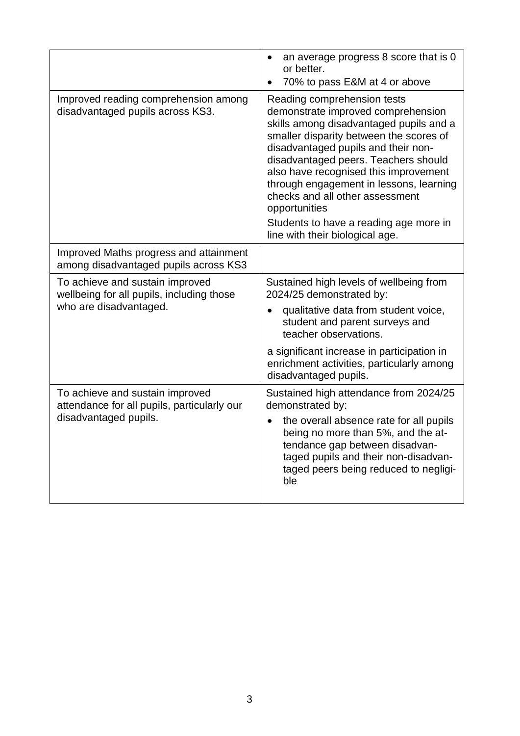|                                                                                                         | an average progress 8 score that is 0<br>or better.<br>70% to pass E&M at 4 or above                                                                                                                                                                                                                                                                                                                                                                        |
|---------------------------------------------------------------------------------------------------------|-------------------------------------------------------------------------------------------------------------------------------------------------------------------------------------------------------------------------------------------------------------------------------------------------------------------------------------------------------------------------------------------------------------------------------------------------------------|
| Improved reading comprehension among<br>disadvantaged pupils across KS3.                                | Reading comprehension tests<br>demonstrate improved comprehension<br>skills among disadvantaged pupils and a<br>smaller disparity between the scores of<br>disadvantaged pupils and their non-<br>disadvantaged peers. Teachers should<br>also have recognised this improvement<br>through engagement in lessons, learning<br>checks and all other assessment<br>opportunities<br>Students to have a reading age more in<br>line with their biological age. |
| Improved Maths progress and attainment<br>among disadvantaged pupils across KS3                         |                                                                                                                                                                                                                                                                                                                                                                                                                                                             |
| To achieve and sustain improved<br>wellbeing for all pupils, including those<br>who are disadvantaged.  | Sustained high levels of wellbeing from<br>2024/25 demonstrated by:<br>qualitative data from student voice,<br>student and parent surveys and<br>teacher observations.                                                                                                                                                                                                                                                                                      |
|                                                                                                         | a significant increase in participation in<br>enrichment activities, particularly among<br>disadvantaged pupils.                                                                                                                                                                                                                                                                                                                                            |
| To achieve and sustain improved<br>attendance for all pupils, particularly our<br>disadvantaged pupils. | Sustained high attendance from 2024/25<br>demonstrated by:                                                                                                                                                                                                                                                                                                                                                                                                  |
|                                                                                                         | the overall absence rate for all pupils<br>being no more than 5%, and the at-<br>tendance gap between disadvan-<br>taged pupils and their non-disadvan-<br>taged peers being reduced to negligi-<br>ble                                                                                                                                                                                                                                                     |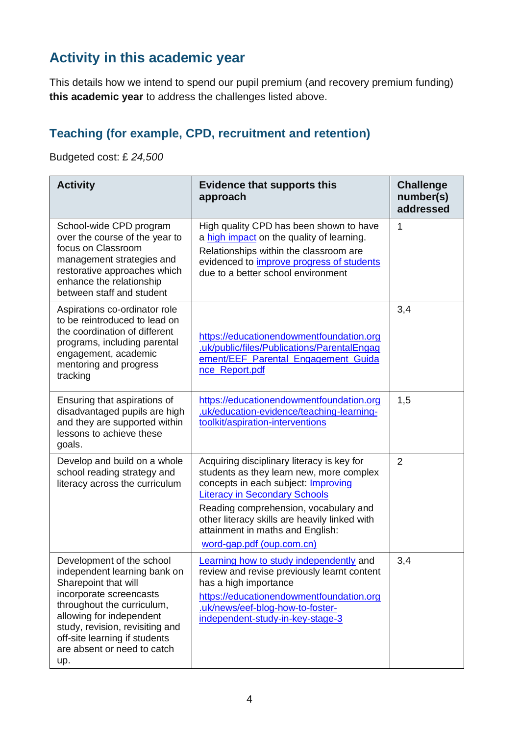# **Activity in this academic year**

This details how we intend to spend our pupil premium (and recovery premium funding) **this academic year** to address the challenges listed above.

#### **Teaching (for example, CPD, recruitment and retention)**

Budgeted cost: £ *24,500*

| <b>Activity</b>                                                                                                                                                                                                                                                                  | <b>Evidence that supports this</b><br>approach                                                                                                                                                                                                                                                                                          | <b>Challenge</b><br>number(s)<br>addressed |
|----------------------------------------------------------------------------------------------------------------------------------------------------------------------------------------------------------------------------------------------------------------------------------|-----------------------------------------------------------------------------------------------------------------------------------------------------------------------------------------------------------------------------------------------------------------------------------------------------------------------------------------|--------------------------------------------|
| School-wide CPD program<br>over the course of the year to<br>focus on Classroom<br>management strategies and<br>restorative approaches which<br>enhance the relationship<br>between staff and student                                                                            | High quality CPD has been shown to have<br>a high impact on the quality of learning.<br>Relationships within the classroom are<br>evidenced to improve progress of students<br>due to a better school environment                                                                                                                       | 1                                          |
| Aspirations co-ordinator role<br>to be reintroduced to lead on<br>the coordination of different<br>programs, including parental<br>engagement, academic<br>mentoring and progress<br>tracking                                                                                    | https://educationendowmentfoundation.org<br>.uk/public/files/Publications/ParentalEngag<br>ement/EEF_Parental_Engagement_Guida<br>nce_Report.pdf                                                                                                                                                                                        | 3,4                                        |
| Ensuring that aspirations of<br>disadvantaged pupils are high<br>and they are supported within<br>lessons to achieve these<br>goals.                                                                                                                                             | https://educationendowmentfoundation.org<br>.uk/education-evidence/teaching-learning-<br>toolkit/aspiration-interventions                                                                                                                                                                                                               | 1,5                                        |
| Develop and build on a whole<br>school reading strategy and<br>literacy across the curriculum                                                                                                                                                                                    | Acquiring disciplinary literacy is key for<br>students as they learn new, more complex<br>concepts in each subject: <b>Improving</b><br><b>Literacy in Secondary Schools</b><br>Reading comprehension, vocabulary and<br>other literacy skills are heavily linked with<br>attainment in maths and English:<br>word-gap.pdf (oup.com.cn) | $\overline{2}$                             |
| Development of the school<br>independent learning bank on<br>Sharepoint that will<br>incorporate screencasts<br>throughout the curriculum,<br>allowing for independent<br>study, revision, revisiting and<br>off-site learning if students<br>are absent or need to catch<br>up. | Learning how to study independently and<br>review and revise previously learnt content<br>has a high importance<br>https://educationendowmentfoundation.org<br>.uk/news/eef-blog-how-to-foster-<br>independent-study-in-key-stage-3                                                                                                     | 3,4                                        |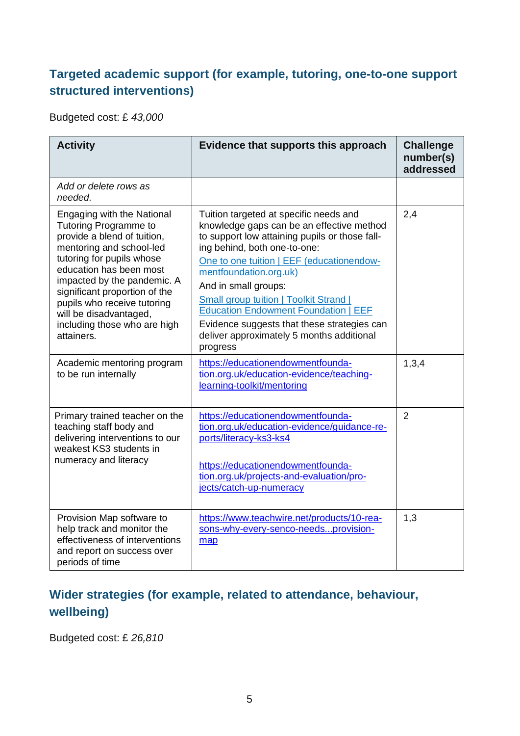#### **Targeted academic support (for example, tutoring, one-to-one support structured interventions)**

Budgeted cost: £ *43,000*

| <b>Activity</b>                                                                                                                                                                                                                                                                                                                                                                                            | Evidence that supports this approach                                                                                                                                                                                                                                                                                                                                                                                                                                                                                                                          | <b>Challenge</b><br>number(s)<br>addressed |
|------------------------------------------------------------------------------------------------------------------------------------------------------------------------------------------------------------------------------------------------------------------------------------------------------------------------------------------------------------------------------------------------------------|---------------------------------------------------------------------------------------------------------------------------------------------------------------------------------------------------------------------------------------------------------------------------------------------------------------------------------------------------------------------------------------------------------------------------------------------------------------------------------------------------------------------------------------------------------------|--------------------------------------------|
| Add or delete rows as<br>needed.                                                                                                                                                                                                                                                                                                                                                                           |                                                                                                                                                                                                                                                                                                                                                                                                                                                                                                                                                               |                                            |
| Engaging with the National<br><b>Tutoring Programme to</b><br>provide a blend of tuition,<br>mentoring and school-led<br>tutoring for pupils whose<br>education has been most<br>impacted by the pandemic. A<br>significant proportion of the<br>pupils who receive tutoring<br>will be disadvantaged,<br>including those who are high<br>attainers.<br>Academic mentoring program<br>to be run internally | Tuition targeted at specific needs and<br>knowledge gaps can be an effective method<br>to support low attaining pupils or those fall-<br>ing behind, both one-to-one:<br>One to one tuition   EEF (educationendow-<br>mentfoundation.org.uk)<br>And in small groups:<br><b>Small group tuition   Toolkit Strand  </b><br><b>Education Endowment Foundation   EEF</b><br>Evidence suggests that these strategies can<br>deliver approximately 5 months additional<br>progress<br>https://educationendowmentfounda-<br>tion.org.uk/education-evidence/teaching- | 2,4<br>1,3,4                               |
|                                                                                                                                                                                                                                                                                                                                                                                                            | learning-toolkit/mentoring                                                                                                                                                                                                                                                                                                                                                                                                                                                                                                                                    |                                            |
| Primary trained teacher on the<br>teaching staff body and<br>delivering interventions to our<br>weakest KS3 students in<br>numeracy and literacy                                                                                                                                                                                                                                                           | https://educationendowmentfounda-<br>tion.org.uk/education-evidence/guidance-re-<br>ports/literacy-ks3-ks4<br>https://educationendowmentfounda-<br>tion.org.uk/projects-and-evaluation/pro-<br>jects/catch-up-numeracy                                                                                                                                                                                                                                                                                                                                        | $\overline{2}$                             |
| Provision Map software to<br>help track and monitor the<br>effectiveness of interventions<br>and report on success over<br>periods of time                                                                                                                                                                                                                                                                 | https://www.teachwire.net/products/10-rea-<br>sons-why-every-senco-needsprovision-<br>map                                                                                                                                                                                                                                                                                                                                                                                                                                                                     | 1,3                                        |

### **Wider strategies (for example, related to attendance, behaviour, wellbeing)**

Budgeted cost: £ *26,810*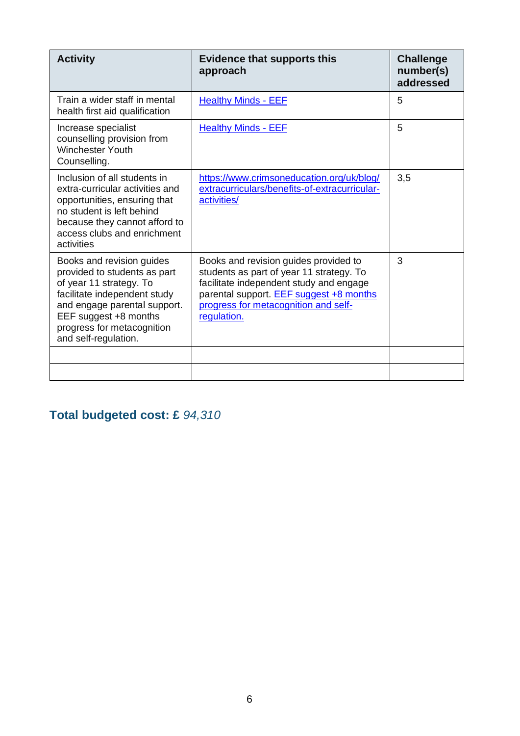| <b>Activity</b>                                                                                                                                                                                                                     | <b>Evidence that supports this</b><br>approach                                                                                                                                                                                        | <b>Challenge</b><br>number(s)<br>addressed |
|-------------------------------------------------------------------------------------------------------------------------------------------------------------------------------------------------------------------------------------|---------------------------------------------------------------------------------------------------------------------------------------------------------------------------------------------------------------------------------------|--------------------------------------------|
| Train a wider staff in mental<br>health first aid qualification                                                                                                                                                                     | <b>Healthy Minds - EEF</b>                                                                                                                                                                                                            | 5                                          |
| Increase specialist<br>counselling provision from<br><b>Winchester Youth</b><br>Counselling.                                                                                                                                        | <b>Healthy Minds - EEF</b>                                                                                                                                                                                                            | 5                                          |
| Inclusion of all students in<br>extra-curricular activities and<br>opportunities, ensuring that<br>no student is left behind<br>because they cannot afford to<br>access clubs and enrichment<br>activities                          | https://www.crimsoneducation.org/uk/blog/<br>extracurriculars/benefits-of-extracurricular-<br>activities/                                                                                                                             | 3,5                                        |
| Books and revision guides<br>provided to students as part<br>of year 11 strategy. To<br>facilitate independent study<br>and engage parental support.<br>EEF suggest +8 months<br>progress for metacognition<br>and self-regulation. | Books and revision guides provided to<br>students as part of year 11 strategy. To<br>facilitate independent study and engage<br>parental support. <b>EEF</b> suggest +8 months<br>progress for metacognition and self-<br>regulation. | 3                                          |
|                                                                                                                                                                                                                                     |                                                                                                                                                                                                                                       |                                            |
|                                                                                                                                                                                                                                     |                                                                                                                                                                                                                                       |                                            |

## **Total budgeted cost: £** *94,310*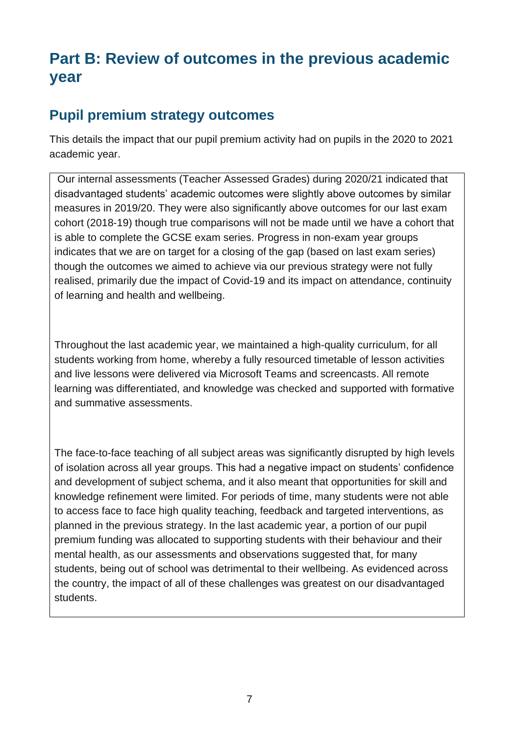# **Part B: Review of outcomes in the previous academic year**

### **Pupil premium strategy outcomes**

This details the impact that our pupil premium activity had on pupils in the 2020 to 2021 academic year.

Our internal assessments (Teacher Assessed Grades) during 2020/21 indicated that disadvantaged students' academic outcomes were slightly above outcomes by similar measures in 2019/20. They were also significantly above outcomes for our last exam cohort (2018-19) though true comparisons will not be made until we have a cohort that is able to complete the GCSE exam series. Progress in non-exam year groups indicates that we are on target for a closing of the gap (based on last exam series) though the outcomes we aimed to achieve via our previous strategy were not fully realised, primarily due the impact of Covid-19 and its impact on attendance, continuity of learning and health and wellbeing.

Throughout the last academic year, we maintained a high-quality curriculum, for all students working from home, whereby a fully resourced timetable of lesson activities and live lessons were delivered via Microsoft Teams and screencasts. All remote learning was differentiated, and knowledge was checked and supported with formative and summative assessments.

The face-to-face teaching of all subject areas was significantly disrupted by high levels of isolation across all year groups. This had a negative impact on students' confidence and development of subject schema, and it also meant that opportunities for skill and knowledge refinement were limited. For periods of time, many students were not able to access face to face high quality teaching, feedback and targeted interventions, as planned in the previous strategy. In the last academic year, a portion of our pupil premium funding was allocated to supporting students with their behaviour and their mental health, as our assessments and observations suggested that, for many students, being out of school was detrimental to their wellbeing. As evidenced across the country, the impact of all of these challenges was greatest on our disadvantaged students.